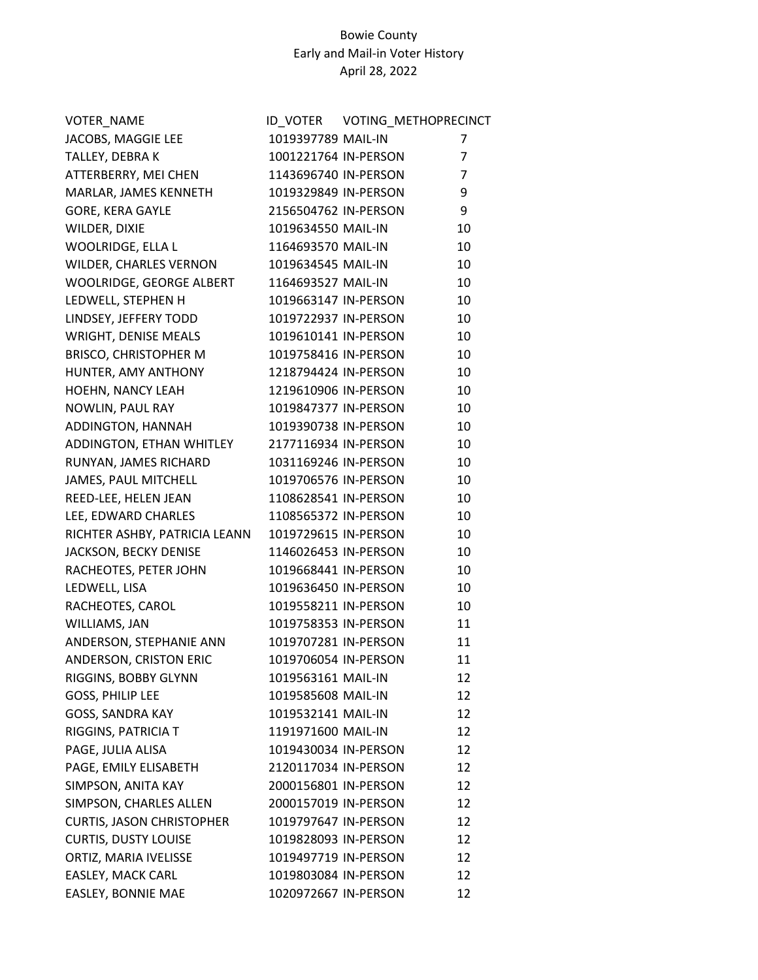| VOTER_NAME                       |                      | ID VOTER VOTING METHOPRECINCT |                |
|----------------------------------|----------------------|-------------------------------|----------------|
| JACOBS, MAGGIE LEE               | 1019397789 MAIL-IN   |                               | 7              |
| TALLEY, DEBRAK                   | 1001221764 IN-PERSON |                               | $\overline{7}$ |
| ATTERBERRY, MEI CHEN             | 1143696740 IN-PERSON |                               | 7              |
| MARLAR, JAMES KENNETH            | 1019329849 IN-PERSON |                               | 9              |
| <b>GORE, KERA GAYLE</b>          | 2156504762 IN-PERSON |                               | 9              |
| WILDER, DIXIE                    | 1019634550 MAIL-IN   |                               | 10             |
| WOOLRIDGE, ELLA L                | 1164693570 MAIL-IN   |                               | 10             |
| WILDER, CHARLES VERNON           | 1019634545 MAIL-IN   |                               | 10             |
| WOOLRIDGE, GEORGE ALBERT         | 1164693527 MAIL-IN   |                               | 10             |
| LEDWELL, STEPHEN H               | 1019663147 IN-PERSON |                               | 10             |
| LINDSEY, JEFFERY TODD            | 1019722937 IN-PERSON |                               | 10             |
| WRIGHT, DENISE MEALS             | 1019610141 IN-PERSON |                               | 10             |
| <b>BRISCO, CHRISTOPHER M</b>     | 1019758416 IN-PERSON |                               | 10             |
| HUNTER, AMY ANTHONY              | 1218794424 IN-PERSON |                               | 10             |
| <b>HOEHN, NANCY LEAH</b>         | 1219610906 IN-PERSON |                               | 10             |
| NOWLIN, PAUL RAY                 | 1019847377 IN-PERSON |                               | 10             |
| ADDINGTON, HANNAH                | 1019390738 IN-PERSON |                               | 10             |
| ADDINGTON, ETHAN WHITLEY         | 2177116934 IN-PERSON |                               | 10             |
| RUNYAN, JAMES RICHARD            | 1031169246 IN-PERSON |                               | 10             |
| JAMES, PAUL MITCHELL             | 1019706576 IN-PERSON |                               | 10             |
| REED-LEE, HELEN JEAN             | 1108628541 IN-PERSON |                               | 10             |
| LEE, EDWARD CHARLES              | 1108565372 IN-PERSON |                               | 10             |
| RICHTER ASHBY, PATRICIA LEANN    | 1019729615 IN-PERSON |                               | 10             |
| JACKSON, BECKY DENISE            | 1146026453 IN-PERSON |                               | 10             |
| RACHEOTES, PETER JOHN            | 1019668441 IN-PERSON |                               | 10             |
| LEDWELL, LISA                    | 1019636450 IN-PERSON |                               | 10             |
| RACHEOTES, CAROL                 | 1019558211 IN-PERSON |                               | 10             |
| WILLIAMS, JAN                    | 1019758353 IN-PERSON |                               | 11             |
| ANDERSON, STEPHANIE ANN          | 1019707281 IN-PERSON |                               | 11             |
| ANDERSON, CRISTON ERIC           | 1019706054 IN-PERSON |                               | 11             |
| RIGGINS, BOBBY GLYNN             | 1019563161 MAIL-IN   |                               | 12             |
| <b>GOSS, PHILIP LEE</b>          | 1019585608 MAIL-IN   |                               | 12             |
| GOSS, SANDRA KAY                 | 1019532141 MAIL-IN   |                               | 12             |
| RIGGINS, PATRICIA T              | 1191971600 MAIL-IN   |                               | 12             |
| PAGE, JULIA ALISA                | 1019430034 IN-PERSON |                               | 12             |
| PAGE, EMILY ELISABETH            | 2120117034 IN-PERSON |                               | 12             |
| SIMPSON, ANITA KAY               | 2000156801 IN-PERSON |                               | 12             |
| SIMPSON, CHARLES ALLEN           | 2000157019 IN-PERSON |                               | 12             |
| <b>CURTIS, JASON CHRISTOPHER</b> | 1019797647 IN-PERSON |                               | 12             |
| <b>CURTIS, DUSTY LOUISE</b>      | 1019828093 IN-PERSON |                               | 12             |
| ORTIZ, MARIA IVELISSE            | 1019497719 IN-PERSON |                               | 12             |
| EASLEY, MACK CARL                | 1019803084 IN-PERSON |                               | 12             |
| EASLEY, BONNIE MAE               | 1020972667 IN-PERSON |                               | 12             |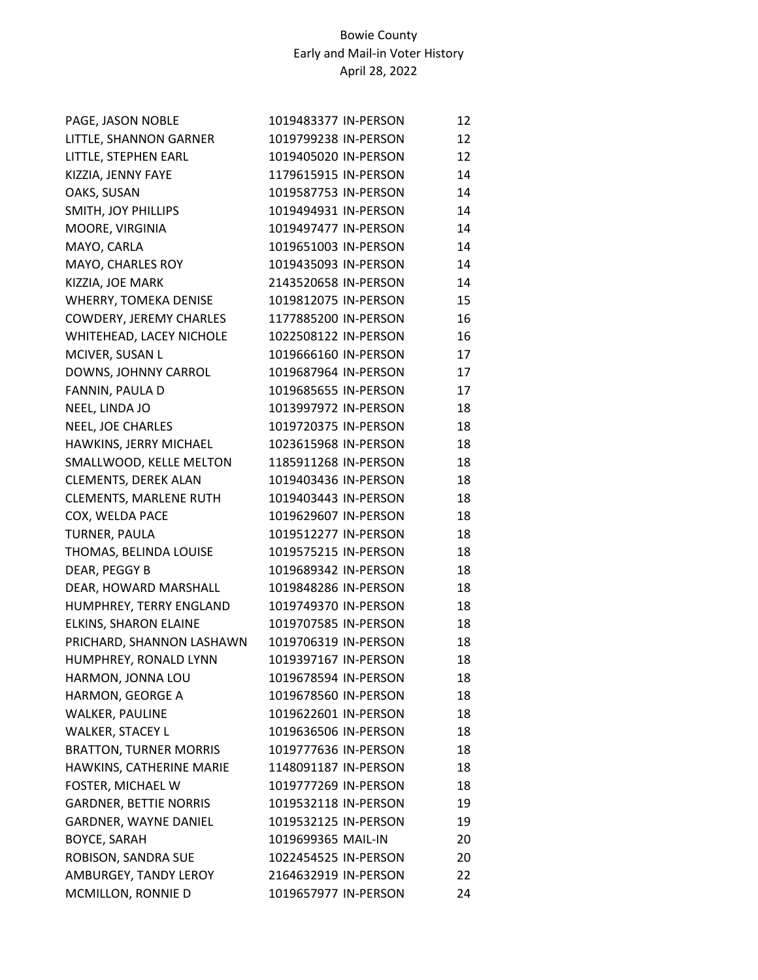| PAGE, JASON NOBLE             | 1019483377 IN-PERSON | 12 |
|-------------------------------|----------------------|----|
| LITTLE, SHANNON GARNER        | 1019799238 IN-PERSON | 12 |
| LITTLE, STEPHEN EARL          | 1019405020 IN-PERSON | 12 |
| KIZZIA, JENNY FAYE            | 1179615915 IN-PERSON | 14 |
| OAKS, SUSAN                   | 1019587753 IN-PERSON | 14 |
| SMITH, JOY PHILLIPS           | 1019494931 IN-PERSON | 14 |
| MOORE, VIRGINIA               | 1019497477 IN-PERSON | 14 |
| MAYO, CARLA                   | 1019651003 IN-PERSON | 14 |
| MAYO, CHARLES ROY             | 1019435093 IN-PERSON | 14 |
| KIZZIA, JOE MARK              | 2143520658 IN-PERSON | 14 |
| WHERRY, TOMEKA DENISE         | 1019812075 IN-PERSON | 15 |
| COWDERY, JEREMY CHARLES       | 1177885200 IN-PERSON | 16 |
| WHITEHEAD, LACEY NICHOLE      | 1022508122 IN-PERSON | 16 |
| MCIVER, SUSAN L               | 1019666160 IN-PERSON | 17 |
| DOWNS, JOHNNY CARROL          | 1019687964 IN-PERSON | 17 |
| FANNIN, PAULA D               | 1019685655 IN-PERSON | 17 |
| NEEL, LINDA JO                | 1013997972 IN-PERSON | 18 |
| NEEL, JOE CHARLES             | 1019720375 IN-PERSON | 18 |
| HAWKINS, JERRY MICHAEL        | 1023615968 IN-PERSON | 18 |
| SMALLWOOD, KELLE MELTON       | 1185911268 IN-PERSON | 18 |
| CLEMENTS, DEREK ALAN          | 1019403436 IN-PERSON | 18 |
| <b>CLEMENTS, MARLENE RUTH</b> | 1019403443 IN-PERSON | 18 |
| COX, WELDA PACE               | 1019629607 IN-PERSON | 18 |
| TURNER, PAULA                 | 1019512277 IN-PERSON | 18 |
| THOMAS, BELINDA LOUISE        | 1019575215 IN-PERSON | 18 |
| DEAR, PEGGY B                 | 1019689342 IN-PERSON | 18 |
| DEAR, HOWARD MARSHALL         | 1019848286 IN-PERSON | 18 |
| HUMPHREY, TERRY ENGLAND       | 1019749370 IN-PERSON | 18 |
| ELKINS, SHARON ELAINE         | 1019707585 IN-PERSON | 18 |
| PRICHARD, SHANNON LASHAWN     | 1019706319 IN-PERSON | 18 |
| HUMPHREY, RONALD LYNN         | 1019397167 IN-PERSON | 18 |
| HARMON, JONNA LOU             | 1019678594 IN-PERSON | 18 |
| HARMON, GEORGE A              | 1019678560 IN-PERSON | 18 |
| <b>WALKER, PAULINE</b>        | 1019622601 IN-PERSON | 18 |
| WALKER, STACEY L              | 1019636506 IN-PERSON | 18 |
| <b>BRATTON, TURNER MORRIS</b> | 1019777636 IN-PERSON | 18 |
| HAWKINS, CATHERINE MARIE      | 1148091187 IN-PERSON | 18 |
| FOSTER, MICHAEL W             | 1019777269 IN-PERSON | 18 |
| <b>GARDNER, BETTIE NORRIS</b> | 1019532118 IN-PERSON | 19 |
| GARDNER, WAYNE DANIEL         | 1019532125 IN-PERSON | 19 |
| <b>BOYCE, SARAH</b>           | 1019699365 MAIL-IN   | 20 |
| ROBISON, SANDRA SUE           | 1022454525 IN-PERSON | 20 |
| AMBURGEY, TANDY LEROY         | 2164632919 IN-PERSON | 22 |
| MCMILLON, RONNIE D            | 1019657977 IN-PERSON | 24 |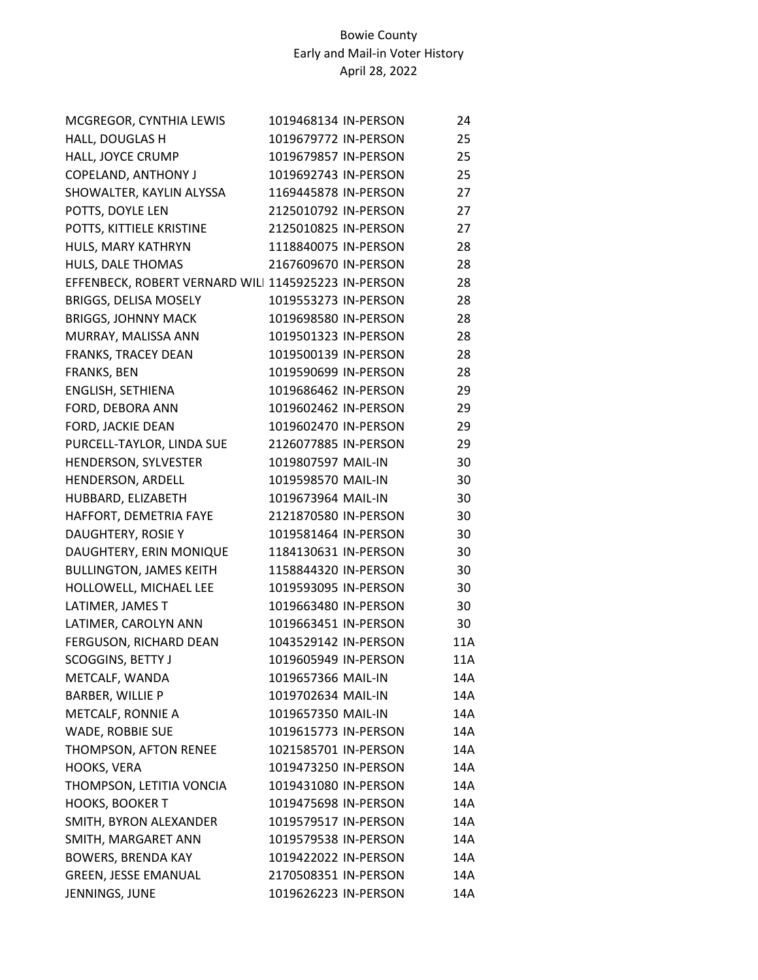| MCGREGOR, CYNTHIA LEWIS                             | 1019468134 IN-PERSON | 24  |
|-----------------------------------------------------|----------------------|-----|
| HALL, DOUGLAS H                                     | 1019679772 IN-PERSON | 25  |
| HALL, JOYCE CRUMP                                   | 1019679857 IN-PERSON | 25  |
| COPELAND, ANTHONY J                                 | 1019692743 IN-PERSON | 25  |
| SHOWALTER, KAYLIN ALYSSA                            | 1169445878 IN-PERSON | 27  |
| POTTS, DOYLE LEN                                    | 2125010792 IN-PERSON | 27  |
| POTTS, KITTIELE KRISTINE                            | 2125010825 IN-PERSON | 27  |
| HULS, MARY KATHRYN                                  | 1118840075 IN-PERSON | 28  |
| HULS, DALE THOMAS                                   | 2167609670 IN-PERSON | 28  |
| EFFENBECK, ROBERT VERNARD WILI 1145925223 IN-PERSON |                      | 28  |
| BRIGGS, DELISA MOSELY                               | 1019553273 IN-PERSON | 28  |
| <b>BRIGGS, JOHNNY MACK</b>                          | 1019698580 IN-PERSON | 28  |
| MURRAY, MALISSA ANN                                 | 1019501323 IN-PERSON | 28  |
| FRANKS, TRACEY DEAN                                 | 1019500139 IN-PERSON | 28  |
| FRANKS, BEN                                         | 1019590699 IN-PERSON | 28  |
| ENGLISH, SETHIENA                                   | 1019686462 IN-PERSON | 29  |
| FORD, DEBORA ANN                                    | 1019602462 IN-PERSON | 29  |
| FORD, JACKIE DEAN                                   | 1019602470 IN-PERSON | 29  |
| PURCELL-TAYLOR, LINDA SUE                           | 2126077885 IN-PERSON | 29  |
| HENDERSON, SYLVESTER                                | 1019807597 MAIL-IN   | 30  |
| HENDERSON, ARDELL                                   | 1019598570 MAIL-IN   | 30  |
| HUBBARD, ELIZABETH                                  | 1019673964 MAIL-IN   | 30  |
| HAFFORT, DEMETRIA FAYE                              | 2121870580 IN-PERSON | 30  |
| DAUGHTERY, ROSIE Y                                  | 1019581464 IN-PERSON | 30  |
| DAUGHTERY, ERIN MONIQUE                             | 1184130631 IN-PERSON | 30  |
| <b>BULLINGTON, JAMES KEITH</b>                      | 1158844320 IN-PERSON | 30  |
| HOLLOWELL, MICHAEL LEE                              | 1019593095 IN-PERSON | 30  |
| LATIMER, JAMES T                                    | 1019663480 IN-PERSON | 30  |
| LATIMER, CAROLYN ANN                                | 1019663451 IN-PERSON | 30  |
| FERGUSON, RICHARD DEAN                              | 1043529142 IN-PERSON | 11A |
| SCOGGINS, BETTY J                                   | 1019605949 IN-PERSON | 11A |
| METCALF, WANDA                                      | 1019657366 MAIL-IN   | 14A |
| BARBER, WILLIE P                                    | 1019702634 MAIL-IN   | 14A |
| METCALF, RONNIE A                                   | 1019657350 MAIL-IN   | 14A |
| WADE, ROBBIE SUE                                    | 1019615773 IN-PERSON | 14A |
| THOMPSON, AFTON RENEE                               | 1021585701 IN-PERSON | 14A |
| HOOKS, VERA                                         | 1019473250 IN-PERSON | 14A |
| THOMPSON, LETITIA VONCIA                            | 1019431080 IN-PERSON | 14A |
| <b>HOOKS, BOOKER T</b>                              | 1019475698 IN-PERSON | 14A |
| SMITH, BYRON ALEXANDER                              | 1019579517 IN-PERSON | 14A |
| SMITH, MARGARET ANN                                 | 1019579538 IN-PERSON | 14A |
| <b>BOWERS, BRENDA KAY</b>                           | 1019422022 IN-PERSON | 14A |
| <b>GREEN, JESSE EMANUAL</b>                         | 2170508351 IN-PERSON | 14A |
| JENNINGS, JUNE                                      | 1019626223 IN-PERSON | 14A |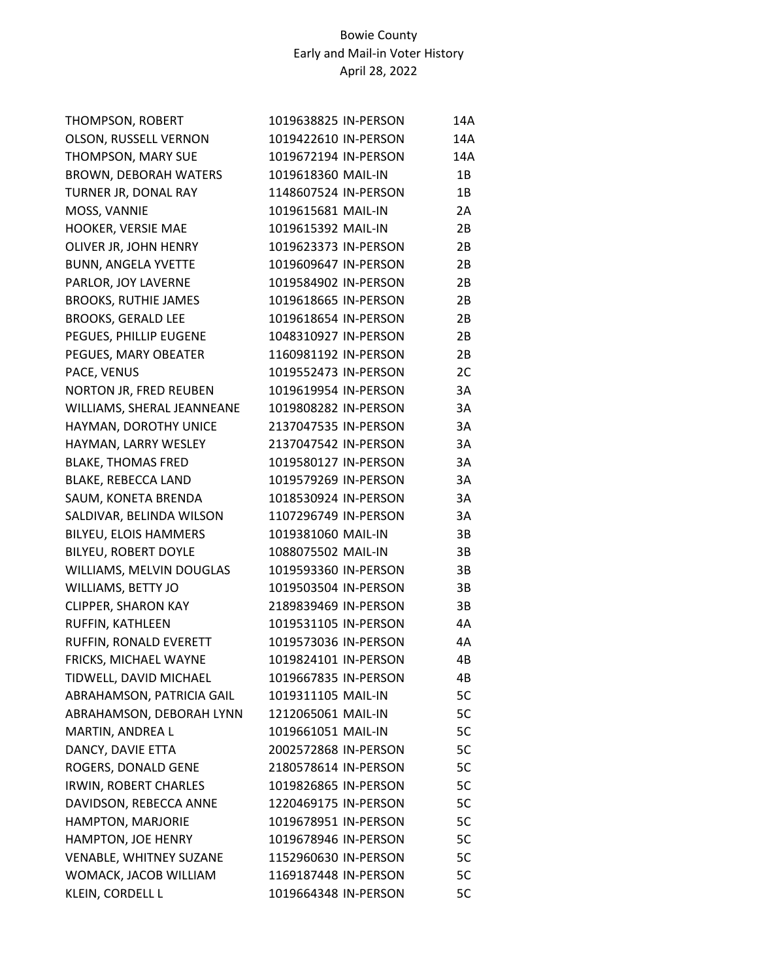| THOMPSON, ROBERT               | 1019638825 IN-PERSON | 14A |
|--------------------------------|----------------------|-----|
| OLSON, RUSSELL VERNON          | 1019422610 IN-PERSON | 14A |
| THOMPSON, MARY SUE             | 1019672194 IN-PERSON | 14A |
| <b>BROWN, DEBORAH WATERS</b>   | 1019618360 MAIL-IN   | 1В  |
| TURNER JR, DONAL RAY           | 1148607524 IN-PERSON | 1B  |
| MOSS, VANNIE                   | 1019615681 MAIL-IN   | 2A  |
| HOOKER, VERSIE MAE             | 1019615392 MAIL-IN   | 2B  |
| OLIVER JR, JOHN HENRY          | 1019623373 IN-PERSON | 2B  |
| <b>BUNN, ANGELA YVETTE</b>     | 1019609647 IN-PERSON | 2B  |
| PARLOR, JOY LAVERNE            | 1019584902 IN-PERSON | 2B  |
| <b>BROOKS, RUTHIE JAMES</b>    | 1019618665 IN-PERSON | 2B  |
| <b>BROOKS, GERALD LEE</b>      | 1019618654 IN-PERSON | 2B  |
| PEGUES, PHILLIP EUGENE         | 1048310927 IN-PERSON | 2B  |
| PEGUES, MARY OBEATER           | 1160981192 IN-PERSON | 2B  |
| PACE, VENUS                    | 1019552473 IN-PERSON | 2C  |
| NORTON JR, FRED REUBEN         | 1019619954 IN-PERSON | 3A  |
| WILLIAMS, SHERAL JEANNEANE     | 1019808282 IN-PERSON | 3A  |
| HAYMAN, DOROTHY UNICE          | 2137047535 IN-PERSON | 3A  |
| HAYMAN, LARRY WESLEY           | 2137047542 IN-PERSON | 3A  |
| <b>BLAKE, THOMAS FRED</b>      | 1019580127 IN-PERSON | 3A  |
| BLAKE, REBECCA LAND            | 1019579269 IN-PERSON | 3A  |
| SAUM, KONETA BRENDA            | 1018530924 IN-PERSON | 3A  |
| SALDIVAR, BELINDA WILSON       | 1107296749 IN-PERSON | 3A  |
| <b>BILYEU, ELOIS HAMMERS</b>   | 1019381060 MAIL-IN   | 3B  |
| BILYEU, ROBERT DOYLE           | 1088075502 MAIL-IN   | 3B  |
| WILLIAMS, MELVIN DOUGLAS       | 1019593360 IN-PERSON | 3B  |
| WILLIAMS, BETTY JO             | 1019503504 IN-PERSON | 3B  |
| <b>CLIPPER, SHARON KAY</b>     | 2189839469 IN-PERSON | 3B  |
| RUFFIN, KATHLEEN               | 1019531105 IN-PERSON | 4A  |
| RUFFIN, RONALD EVERETT         | 1019573036 IN-PERSON | 4А  |
| FRICKS, MICHAEL WAYNE          | 1019824101 IN-PERSON | 4B  |
| TIDWELL, DAVID MICHAEL         | 1019667835 IN-PERSON | 4B. |
| ABRAHAMSON, PATRICIA GAIL      | 1019311105 MAIL-IN   | 5C  |
| ABRAHAMSON, DEBORAH LYNN       | 1212065061 MAIL-IN   | 5C  |
| MARTIN, ANDREA L               | 1019661051 MAIL-IN   | 5C  |
| DANCY, DAVIE ETTA              | 2002572868 IN-PERSON | 5C  |
| ROGERS, DONALD GENE            | 2180578614 IN-PERSON | 5C  |
| IRWIN, ROBERT CHARLES          | 1019826865 IN-PERSON | 5C  |
| DAVIDSON, REBECCA ANNE         | 1220469175 IN-PERSON | 5C  |
| HAMPTON, MARJORIE              | 1019678951 IN-PERSON | 5C  |
| HAMPTON, JOE HENRY             | 1019678946 IN-PERSON | 5C  |
| <b>VENABLE, WHITNEY SUZANE</b> | 1152960630 IN-PERSON | 5C  |
| WOMACK, JACOB WILLIAM          | 1169187448 IN-PERSON | 5C  |
| KLEIN, CORDELL L               | 1019664348 IN-PERSON | 5C  |
|                                |                      |     |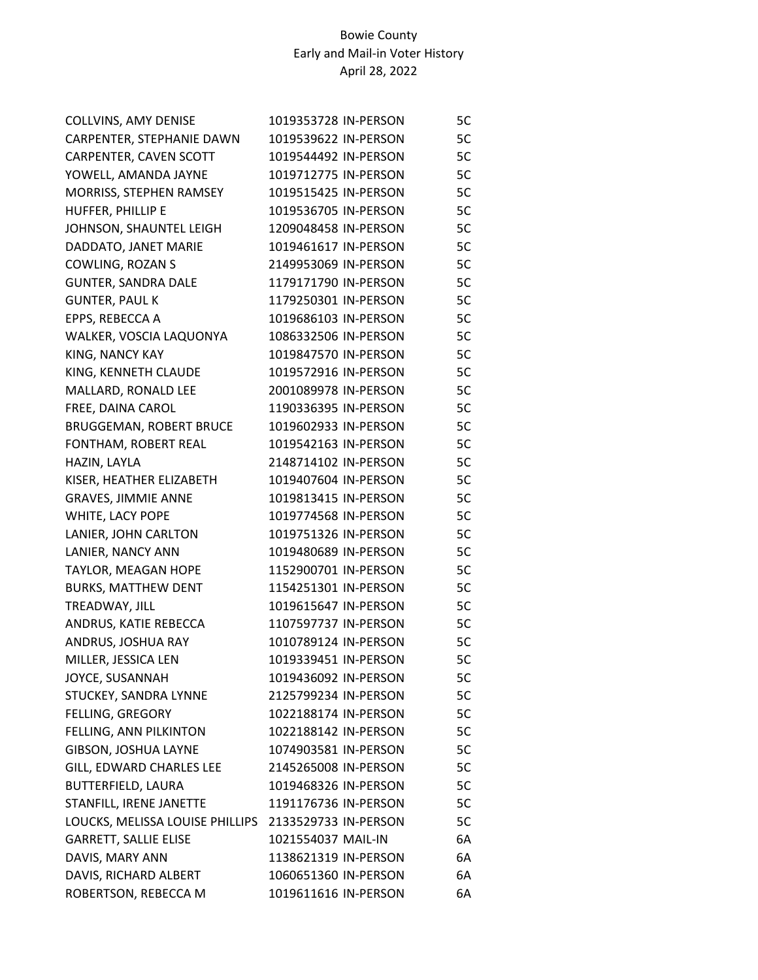| COLLVINS, AMY DENISE            | 1019353728 IN-PERSON | 5С |
|---------------------------------|----------------------|----|
| CARPENTER, STEPHANIE DAWN       | 1019539622 IN-PERSON | 5C |
| CARPENTER, CAVEN SCOTT          | 1019544492 IN-PERSON | 5C |
| YOWELL, AMANDA JAYNE            | 1019712775 IN-PERSON | 5C |
| MORRISS, STEPHEN RAMSEY         | 1019515425 IN-PERSON | 5C |
| HUFFER, PHILLIP E               | 1019536705 IN-PERSON | 5C |
| JOHNSON, SHAUNTEL LEIGH         | 1209048458 IN-PERSON | 5C |
| DADDATO, JANET MARIE            | 1019461617 IN-PERSON | 5C |
| COWLING, ROZAN S                | 2149953069 IN-PERSON | 5C |
| <b>GUNTER, SANDRA DALE</b>      | 1179171790 IN-PERSON | 5C |
| <b>GUNTER, PAUL K</b>           | 1179250301 IN-PERSON | 5C |
| EPPS, REBECCA A                 | 1019686103 IN-PERSON | 5C |
| WALKER, VOSCIA LAQUONYA         | 1086332506 IN-PERSON | 5C |
| KING, NANCY KAY                 | 1019847570 IN-PERSON | 5C |
| KING, KENNETH CLAUDE            | 1019572916 IN-PERSON | 5C |
| MALLARD, RONALD LEE             | 2001089978 IN-PERSON | 5C |
| FREE, DAINA CAROL               | 1190336395 IN-PERSON | 5C |
| BRUGGEMAN, ROBERT BRUCE         | 1019602933 IN-PERSON | 5C |
| FONTHAM, ROBERT REAL            | 1019542163 IN-PERSON | 5C |
| HAZIN, LAYLA                    | 2148714102 IN-PERSON | 5C |
| KISER, HEATHER ELIZABETH        | 1019407604 IN-PERSON | 5C |
| GRAVES, JIMMIE ANNE             | 1019813415 IN-PERSON | 5C |
| WHITE, LACY POPE                | 1019774568 IN-PERSON | 5C |
| LANIER, JOHN CARLTON            | 1019751326 IN-PERSON | 5C |
| LANIER, NANCY ANN               | 1019480689 IN-PERSON | 5C |
| TAYLOR, MEAGAN HOPE             | 1152900701 IN-PERSON | 5C |
| <b>BURKS, MATTHEW DENT</b>      | 1154251301 IN-PERSON | 5C |
| TREADWAY, JILL                  | 1019615647 IN-PERSON | 5C |
| ANDRUS, KATIE REBECCA           | 1107597737 IN-PERSON | 5C |
| ANDRUS, JOSHUA RAY              | 1010789124 IN-PERSON | 5C |
| MILLER, JESSICA LEN             | 1019339451 IN-PERSON | 5C |
| JOYCE, SUSANNAH                 | 1019436092 IN-PERSON | 5С |
| STUCKEY, SANDRA LYNNE           | 2125799234 IN-PERSON | 5C |
| FELLING, GREGORY                | 1022188174 IN-PERSON | 5C |
| FELLING, ANN PILKINTON          | 1022188142 IN-PERSON | 5C |
| GIBSON, JOSHUA LAYNE            | 1074903581 IN-PERSON | 5C |
| GILL, EDWARD CHARLES LEE        | 2145265008 IN-PERSON | 5C |
| BUTTERFIELD, LAURA              | 1019468326 IN-PERSON | 5С |
| STANFILL, IRENE JANETTE         | 1191176736 IN-PERSON | 5C |
| LOUCKS, MELISSA LOUISE PHILLIPS | 2133529733 IN-PERSON | 5C |
| GARRETT, SALLIE ELISE           | 1021554037 MAIL-IN   | 6A |
| DAVIS, MARY ANN                 | 1138621319 IN-PERSON | 6A |
| DAVIS, RICHARD ALBERT           | 1060651360 IN-PERSON | 6A |
| ROBERTSON, REBECCA M            | 1019611616 IN-PERSON | 6A |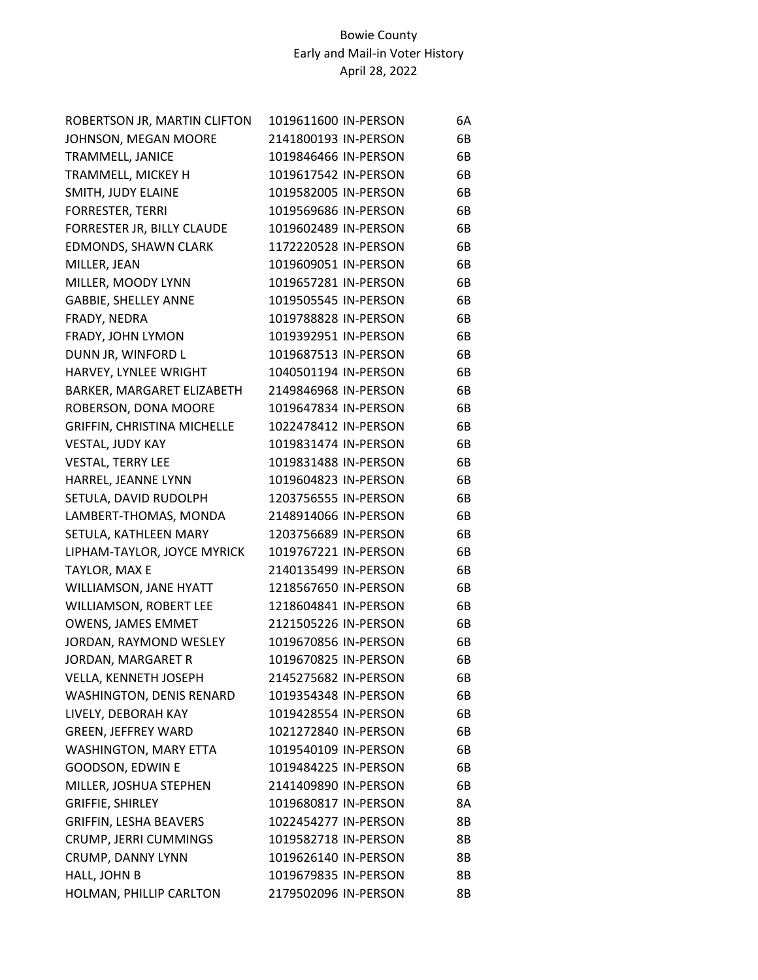| ROBERTSON JR, MARTIN CLIFTON  | 1019611600 IN-PERSON | 6A |
|-------------------------------|----------------------|----|
| JOHNSON, MEGAN MOORE          | 2141800193 IN-PERSON | 6B |
| TRAMMELL, JANICE              | 1019846466 IN-PERSON | 6B |
| TRAMMELL, MICKEY H            | 1019617542 IN-PERSON | 6B |
| SMITH, JUDY ELAINE            | 1019582005 IN-PERSON | 6B |
| <b>FORRESTER, TERRI</b>       | 1019569686 IN-PERSON | 6B |
| FORRESTER JR, BILLY CLAUDE    | 1019602489 IN-PERSON | 6B |
| EDMONDS, SHAWN CLARK          | 1172220528 IN-PERSON | 6B |
| MILLER, JEAN                  | 1019609051 IN-PERSON | 6B |
| MILLER, MOODY LYNN            | 1019657281 IN-PERSON | 6B |
| <b>GABBIE, SHELLEY ANNE</b>   | 1019505545 IN-PERSON | 6B |
| FRADY, NEDRA                  | 1019788828 IN-PERSON | 6B |
| FRADY, JOHN LYMON             | 1019392951 IN-PERSON | 6B |
| DUNN JR, WINFORD L            | 1019687513 IN-PERSON | 6B |
| HARVEY, LYNLEE WRIGHT         | 1040501194 IN-PERSON | 6B |
| BARKER, MARGARET ELIZABETH    | 2149846968 IN-PERSON | 6B |
| ROBERSON, DONA MOORE          | 1019647834 IN-PERSON | 6B |
| GRIFFIN, CHRISTINA MICHELLE   | 1022478412 IN-PERSON | 6B |
| VESTAL, JUDY KAY              | 1019831474 IN-PERSON | 6B |
| <b>VESTAL, TERRY LEE</b>      | 1019831488 IN-PERSON | 6B |
| HARREL, JEANNE LYNN           | 1019604823 IN-PERSON | 6B |
| SETULA, DAVID RUDOLPH         | 1203756555 IN-PERSON | 6B |
| LAMBERT-THOMAS, MONDA         | 2148914066 IN-PERSON | 6B |
| SETULA, KATHLEEN MARY         | 1203756689 IN-PERSON | 6B |
| LIPHAM-TAYLOR, JOYCE MYRICK   | 1019767221 IN-PERSON | 6B |
| TAYLOR, MAX E                 | 2140135499 IN-PERSON | 6B |
| WILLIAMSON, JANE HYATT        | 1218567650 IN-PERSON | 6B |
| WILLIAMSON, ROBERT LEE        | 1218604841 IN-PERSON | 6B |
| <b>OWENS, JAMES EMMET</b>     | 2121505226 IN-PERSON | 6B |
| JORDAN, RAYMOND WESLEY        | 1019670856 IN-PERSON | 6B |
| JORDAN, MARGARET R            | 1019670825 IN-PERSON | 6B |
| VELLA, KENNETH JOSEPH         | 2145275682 IN-PERSON | 6B |
| WASHINGTON, DENIS RENARD      | 1019354348 IN-PERSON | 6B |
| LIVELY, DEBORAH KAY           | 1019428554 IN-PERSON | 6B |
| <b>GREEN, JEFFREY WARD</b>    | 1021272840 IN-PERSON | 6B |
| WASHINGTON, MARY ETTA         | 1019540109 IN-PERSON | 6B |
| GOODSON, EDWIN E              | 1019484225 IN-PERSON | 6B |
| MILLER, JOSHUA STEPHEN        | 2141409890 IN-PERSON | 6B |
| <b>GRIFFIE, SHIRLEY</b>       | 1019680817 IN-PERSON | 8A |
| <b>GRIFFIN, LESHA BEAVERS</b> | 1022454277 IN-PERSON | 8B |
| CRUMP, JERRI CUMMINGS         | 1019582718 IN-PERSON | 8B |
| CRUMP, DANNY LYNN             | 1019626140 IN-PERSON | 8Β |
| HALL, JOHN B                  | 1019679835 IN-PERSON | 8B |
| HOLMAN, PHILLIP CARLTON       | 2179502096 IN-PERSON | 8Β |
|                               |                      |    |